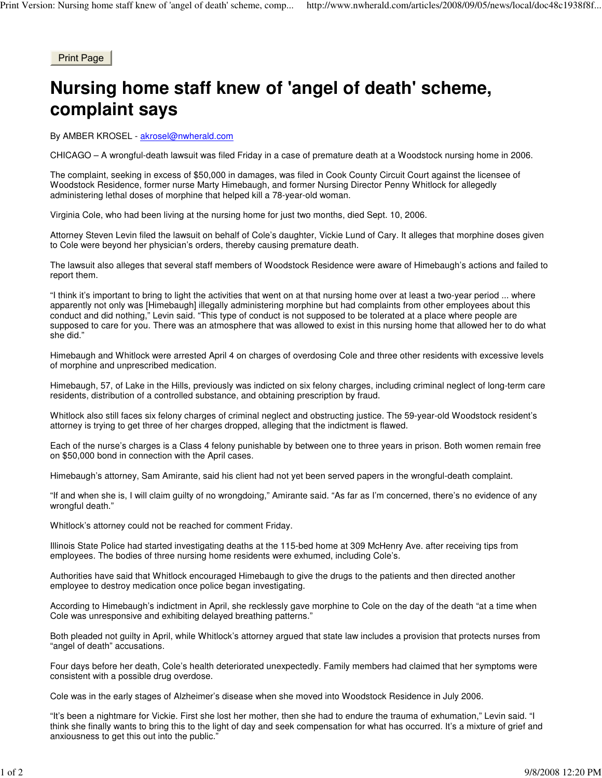Print Page

## **Nursing home staff knew of 'angel of death' scheme, complaint says**

By AMBER KROSEL - akrosel@nwherald.com

CHICAGO – A wrongful-death lawsuit was filed Friday in a case of premature death at a Woodstock nursing home in 2006.

The complaint, seeking in excess of \$50,000 in damages, was filed in Cook County Circuit Court against the licensee of Woodstock Residence, former nurse Marty Himebaugh, and former Nursing Director Penny Whitlock for allegedly administering lethal doses of morphine that helped kill a 78-year-old woman.

Virginia Cole, who had been living at the nursing home for just two months, died Sept. 10, 2006.

Attorney Steven Levin filed the lawsuit on behalf of Cole's daughter, Vickie Lund of Cary. It alleges that morphine doses given to Cole were beyond her physician's orders, thereby causing premature death.

The lawsuit also alleges that several staff members of Woodstock Residence were aware of Himebaugh's actions and failed to report them.

"I think it's important to bring to light the activities that went on at that nursing home over at least a two-year period ... where apparently not only was [Himebaugh] illegally administering morphine but had complaints from other employees about this conduct and did nothing," Levin said. "This type of conduct is not supposed to be tolerated at a place where people are supposed to care for you. There was an atmosphere that was allowed to exist in this nursing home that allowed her to do what she did."

Himebaugh and Whitlock were arrested April 4 on charges of overdosing Cole and three other residents with excessive levels of morphine and unprescribed medication.

Himebaugh, 57, of Lake in the Hills, previously was indicted on six felony charges, including criminal neglect of long-term care residents, distribution of a controlled substance, and obtaining prescription by fraud.

Whitlock also still faces six felony charges of criminal neglect and obstructing justice. The 59-year-old Woodstock resident's attorney is trying to get three of her charges dropped, alleging that the indictment is flawed.

Each of the nurse's charges is a Class 4 felony punishable by between one to three years in prison. Both women remain free on \$50,000 bond in connection with the April cases.

Himebaugh's attorney, Sam Amirante, said his client had not yet been served papers in the wrongful-death complaint.

"If and when she is, I will claim guilty of no wrongdoing," Amirante said. "As far as I'm concerned, there's no evidence of any wrongful death."

Whitlock's attorney could not be reached for comment Friday.

Illinois State Police had started investigating deaths at the 115-bed home at 309 McHenry Ave. after receiving tips from employees. The bodies of three nursing home residents were exhumed, including Cole's.

Authorities have said that Whitlock encouraged Himebaugh to give the drugs to the patients and then directed another employee to destroy medication once police began investigating.

According to Himebaugh's indictment in April, she recklessly gave morphine to Cole on the day of the death "at a time when Cole was unresponsive and exhibiting delayed breathing patterns."

Both pleaded not guilty in April, while Whitlock's attorney argued that state law includes a provision that protects nurses from "angel of death" accusations.

Four days before her death, Cole's health deteriorated unexpectedly. Family members had claimed that her symptoms were consistent with a possible drug overdose.

Cole was in the early stages of Alzheimer's disease when she moved into Woodstock Residence in July 2006.

"It's been a nightmare for Vickie. First she lost her mother, then she had to endure the trauma of exhumation," Levin said. "I think she finally wants to bring this to the light of day and seek compensation for what has occurred. It's a mixture of grief and anxiousness to get this out into the public."